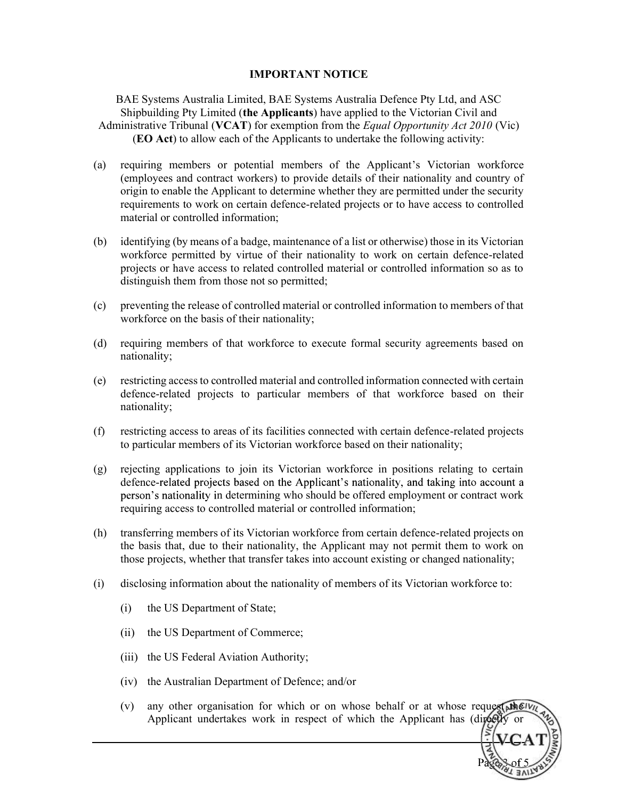## IMPORTANT NOTICE

BAE Systems Australia Limited, BAE Systems Australia Defence Pty Ltd, and ASC Shipbuilding Pty Limited (the Applicants) have applied to the Victorian Civil and Administrative Tribunal (VCAT) for exemption from the Equal Opportunity Act 2010 (Vic) (EO Act) to allow each of the Applicants to undertake the following activity:

- (a) requiring members or potential members of the Applicant's Victorian workforce (employees and contract workers) to provide details of their nationality and country of origin to enable the Applicant to determine whether they are permitted under the security requirements to work on certain defence-related projects or to have access to controlled material or controlled information;
- (b) identifying (by means of a badge, maintenance of a list or otherwise) those in its Victorian workforce permitted by virtue of their nationality to work on certain defence-related projects or have access to related controlled material or controlled information so as to distinguish them from those not so permitted;
- (c) preventing the release of controlled material or controlled information to members of that workforce on the basis of their nationality;
- (d) requiring members of that workforce to execute formal security agreements based on nationality;
- (e) restricting access to controlled material and controlled information connected with certain defence-related projects to particular members of that workforce based on their nationality;
- (f) restricting access to areas of its facilities connected with certain defence-related projects to particular members of its Victorian workforce based on their nationality;
- (g) rejecting applications to join its Victorian workforce in positions relating to certain defence-related projects based on the Applicant's nationality, and taking into account a person's nationality in determining who should be offered employment or contract work requiring access to controlled material or controlled information;
- (h) transferring members of its Victorian workforce from certain defence-related projects on the basis that, due to their nationality, the Applicant may not permit them to work on those projects, whether that transfer takes into account existing or changed nationality;
- (i) disclosing information about the nationality of members of its Victorian workforce to:
	- (i) the US Department of State;
	- (ii) the US Department of Commerce;
	- (iii) the US Federal Aviation Authority;
	- (iv) the Australian Department of Defence; and/or
	- (v) any other organisation for which or on whose behalf or at whose requested  $\mathbf{M}(\mathbf{V})$ Applicant undertakes work in respect of which the Applicant has (directly

Page 3 of 5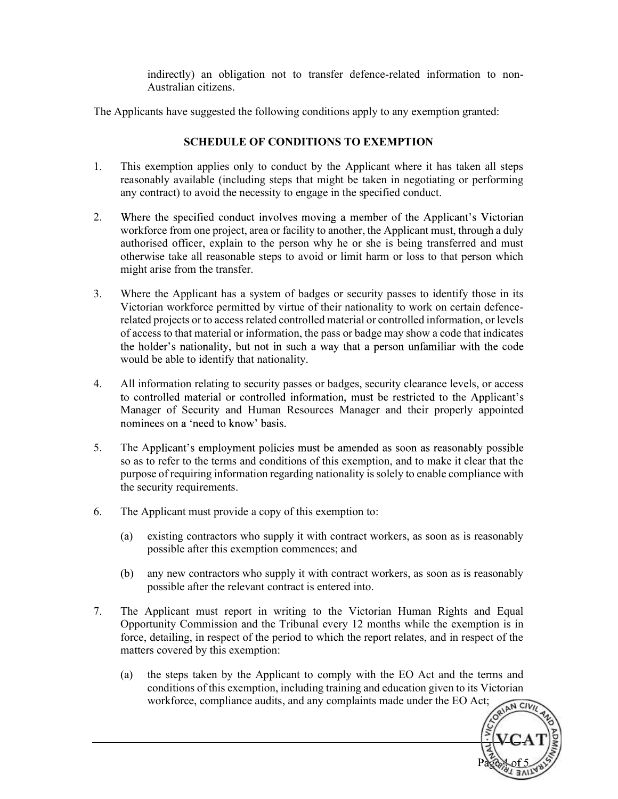indirectly) an obligation not to transfer defence-related information to non-Australian citizens.

The Applicants have suggested the following conditions apply to any exemption granted:

## SCHEDULE OF CONDITIONS TO EXEMPTION

- 1. This exemption applies only to conduct by the Applicant where it has taken all steps reasonably available (including steps that might be taken in negotiating or performing any contract) to avoid the necessity to engage in the specified conduct.
- 2. Where the specified conduct involves moving a member of the Applicant's Victorian workforce from one project, area or facility to another, the Applicant must, through a duly authorised officer, explain to the person why he or she is being transferred and must otherwise take all reasonable steps to avoid or limit harm or loss to that person which might arise from the transfer.
- 3. Where the Applicant has a system of badges or security passes to identify those in its Victorian workforce permitted by virtue of their nationality to work on certain defencerelated projects or to access related controlled material or controlled information, or levels of access to that material or information, the pass or badge may show a code that indicates the holder's nationality, but not in such a way that a person unfamiliar with the code would be able to identify that nationality.
- 4. All information relating to security passes or badges, security clearance levels, or access to controlled material or controlled information, must be restricted to the Applicant's Manager of Security and Human Resources Manager and their properly appointed nominees on a 'need to know' basis.
- 5. The Applicant's employment policies must be amended as soon as reasonably possible so as to refer to the terms and conditions of this exemption, and to make it clear that the purpose of requiring information regarding nationality is solely to enable compliance with the security requirements.
- 6. The Applicant must provide a copy of this exemption to:
	- (a) existing contractors who supply it with contract workers, as soon as is reasonably possible after this exemption commences; and
	- (b) any new contractors who supply it with contract workers, as soon as is reasonably possible after the relevant contract is entered into.
- 7. The Applicant must report in writing to the Victorian Human Rights and Equal Opportunity Commission and the Tribunal every 12 months while the exemption is in force, detailing, in respect of the period to which the report relates, and in respect of the matters covered by this exemption:
	- (a) the steps taken by the Applicant to comply with the EO Act and the terms and conditions of this exemption, including training and education given to its Victorian workforce, compliance audits, and any complaints made under the EO Act;